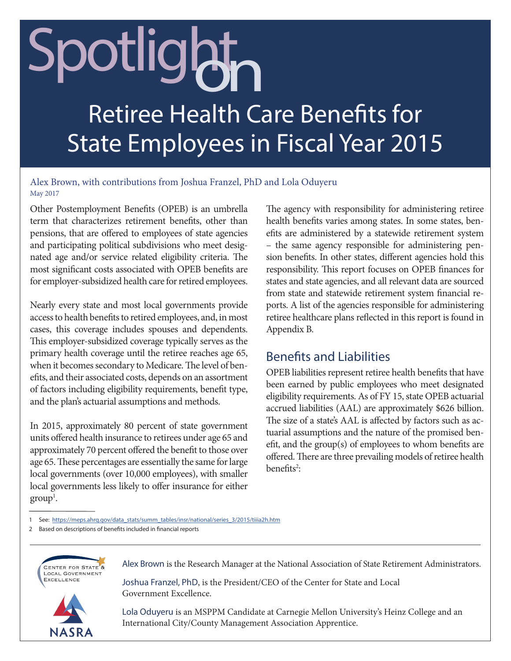# Spotlight.

# Retiree Health Care Benefits for State Employees in Fiscal Year 2015

#### Alex Brown, with contributions from Joshua Franzel, PhD and Lola Oduyeru May 2017

Other Postemployment Benefits (OPEB) is an umbrella term that characterizes retirement benefits, other than pensions, that are offered to employees of state agencies and participating political subdivisions who meet designated age and/or service related eligibility criteria. The most significant costs associated with OPEB benefits are for employer-subsidized health care for retired employees.

Nearly every state and most local governments provide access to health benefits to retired employees, and, in most cases, this coverage includes spouses and dependents. This employer-subsidized coverage typically serves as the primary health coverage until the retiree reaches age 65, when it becomes secondary to Medicare. The level of benefits, and their associated costs, depends on an assortment of factors including eligibility requirements, benefit type, and the plan's actuarial assumptions and methods.

In 2015, approximately 80 percent of state government units offered health insurance to retirees under age 65 and approximately 70 percent offered the benefit to those over age 65. These percentages are essentially the same for large local governments (over 10,000 employees), with smaller local governments less likely to offer insurance for either  $group<sup>1</sup>$ .

The agency with responsibility for administering retiree health benefits varies among states. In some states, benefits are administered by a statewide retirement system – the same agency responsible for administering pension benefits. In other states, different agencies hold this responsibility. This report focuses on OPEB finances for states and state agencies, and all relevant data are sourced from state and statewide retirement system financial reports. A list of the agencies responsible for administering retiree healthcare plans reflected in this report is found in Appendix B.

### Benefits and Liabilities

OPEB liabilities represent retiree health benefits that have been earned by public employees who meet designated eligibility requirements. As of FY 15, state OPEB actuarial accrued liabilities (AAL) are approximately \$626 billion. The size of a state's AAL is affected by factors such as actuarial assumptions and the nature of the promised benefit, and the group(s) of employees to whom benefits are offered. There are three prevailing models of retiree health benefits<sup>2</sup>:

- 1 See: https://meps.ahrq.gov/data\_stats/summ\_tables/insr/national/series\_3/2015/tiiia2h.htm
- 2 Based on descriptions of benefits included in financial reports



Alex Brown is the Research Manager at the National Association of State Retirement Administrators.

Joshua Franzel, PhD, is the President/CEO of the Center for State and Local Government Excellence.



Lola Oduyeru is an MSPPM Candidate at Carnegie Mellon University's Heinz College and an International City/County Management Association Apprentice.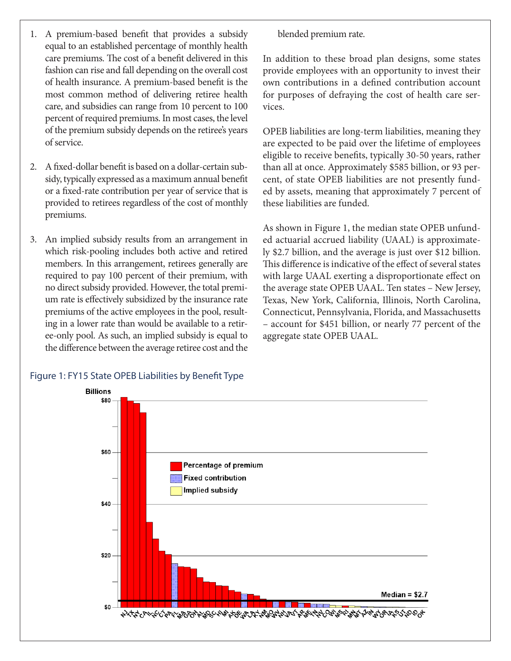- 1. A premium-based benefit that provides a subsidy equal to an established percentage of monthly health care premiums. The cost of a benefit delivered in this fashion can rise and fall depending on the overall cost of health insurance. A premium-based benefit is the most common method of delivering retiree health care, and subsidies can range from 10 percent to 100 percent of required premiums. In most cases, the level of the premium subsidy depends on the retiree's years of service.
- 2. A fixed-dollar benefit is based on a dollar-certain subsidy, typically expressed as a maximum annual benefit or a fixed-rate contribution per year of service that is provided to retirees regardless of the cost of monthly premiums.
- 3. An implied subsidy results from an arrangement in which risk-pooling includes both active and retired members. In this arrangement, retirees generally are required to pay 100 percent of their premium, with no direct subsidy provided. However, the total premium rate is effectively subsidized by the insurance rate premiums of the active employees in the pool, resulting in a lower rate than would be available to a retiree-only pool. As such, an implied subsidy is equal to the difference between the average retiree cost and the

Figure 1: FY15 State OPEB Liabilities by Benefit Type

blended premium rate.

In addition to these broad plan designs, some states provide employees with an opportunity to invest their own contributions in a defined contribution account for purposes of defraying the cost of health care services.

OPEB liabilities are long-term liabilities, meaning they are expected to be paid over the lifetime of employees eligible to receive benefits, typically 30-50 years, rather than all at once. Approximately \$585 billion, or 93 percent, of state OPEB liabilities are not presently funded by assets, meaning that approximately 7 percent of these liabilities are funded.

As shown in Figure 1, the median state OPEB unfunded actuarial accrued liability (UAAL) is approximately \$2.7 billion, and the average is just over \$12 billion. This difference is indicative of the effect of several states with large UAAL exerting a disproportionate effect on the average state OPEB UAAL. Ten states – New Jersey, Texas, New York, California, Illinois, North Carolina, Connecticut, Pennsylvania, Florida, and Massachusetts – account for \$451 billion, or nearly 77 percent of the aggregate state OPEB UAAL.

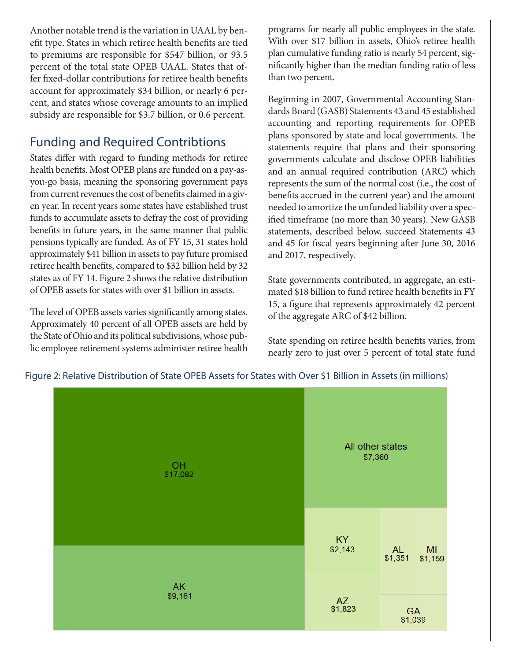Another notable trend is the variation in UAAL by benefit type. States in which retiree health benefits are tied to premiums are responsible for \$547 billion, or 93.5 percent of the total state OPEB UAAL. States that offer fixed-dollar contributions for retiree health benefits account for approximately \$34 billion, or nearly 6 percent, and states whose coverage amounts to an implied subsidy are responsible for \$3.7 billion, or 0.6 percent.

### Funding and Required Contribtions

States differ with regard to funding methods for retiree health benefits. Most OPEB plans are funded on a pay-asyou-go basis, meaning the sponsoring government pays from current revenues the cost of benefits claimed in a given year. In recent years some states have established trust funds to accumulate assets to defray the cost of providing benefits in future years, in the same manner that public pensions typically are funded. As of FY 15, 31 states hold approximately \$41 billion in assets to pay future promised retiree health benefits, compared to \$32 billion held by 32 states as of FY 14. Figure 2 shows the relative distribution of OPEB assets for states with over \$1 billion in assets.

The level of OPEB assets varies significantly among states. Approximately 40 percent of all OPEB assets are held by the State of Ohio and its political subdivisions, whose public employee retirement systems administer retiree health

programs for nearly all public employees in the state. With over \$17 billion in assets, Ohio's retiree health plan cumulative funding ratio is nearly 54 percent, significantly higher than the median funding ratio of less than two percent.

Beginning in 2007, Governmental Accounting Standards Board (GASB) Statements 43 and 45 established accounting and reporting requirements for OPEB plans sponsored by state and local governments. The statements require that plans and their sponsoring governments calculate and disclose OPEB liabilities and an annual required contribution (ARC) which represents the sum of the normal cost (i.e., the cost of benefits accrued in the current year) and the amount needed to amortize the unfunded liability over a specified timeframe (no more than 30 years). New GASB statements, described below, succeed Statements 43 and 45 for fiscal years beginning after June 30, 2016 and 2017, respectively.

State governments contributed, in aggregate, an estimated \$18 billion to fund retiree health benefits in FY 15, a figure that represents approximately 42 percent of the aggregate ARC of \$42 billion.

State spending on retiree health benefits varies, from nearly zero to just over 5 percent of total state fund



Figure 2: Relative Distribution of State OPEB Assets for States with Over \$1 Billion in Assets (in millions)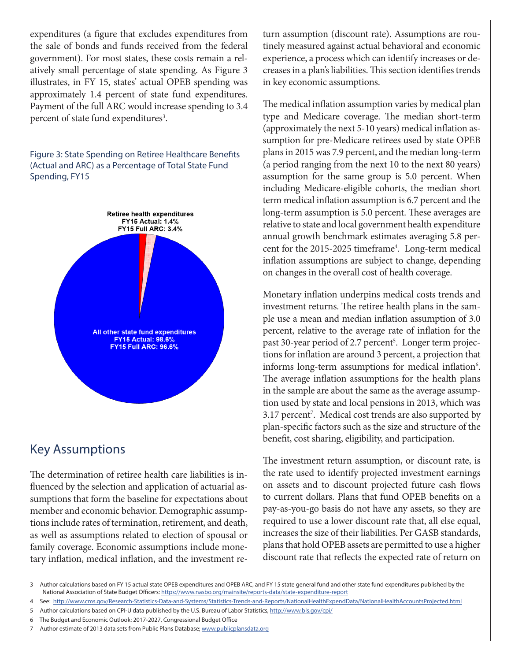expenditures (a figure that excludes expenditures from the sale of bonds and funds received from the federal government). For most states, these costs remain a relatively small percentage of state spending. As Figure 3 illustrates, in FY 15, states' actual OPEB spending was approximately 1.4 percent of state fund expenditures. Payment of the full ARC would increase spending to 3.4 percent of state fund expenditures<sup>3</sup>.

Figure 3: State Spending on Retiree Healthcare Benefits (Actual and ARC) as a Percentage of Total State Fund Spending, FY15



#### Key Assumptions

The determination of retiree health care liabilities is influenced by the selection and application of actuarial assumptions that form the baseline for expectations about member and economic behavior. Demographic assumptions include rates of termination, retirement, and death, as well as assumptions related to election of spousal or family coverage. Economic assumptions include monetary inflation, medical inflation, and the investment return assumption (discount rate). Assumptions are routinely measured against actual behavioral and economic experience, a process which can identify increases or decreases in a plan's liabilities. This section identifies trends in key economic assumptions.

The medical inflation assumption varies by medical plan type and Medicare coverage. The median short-term (approximately the next 5-10 years) medical inflation assumption for pre-Medicare retirees used by state OPEB plans in 2015 was 7.9 percent, and the median long-term (a period ranging from the next 10 to the next 80 years) assumption for the same group is 5.0 percent. When including Medicare-eligible cohorts, the median short term medical inflation assumption is 6.7 percent and the long-term assumption is 5.0 percent. These averages are relative to state and local government health expenditure annual growth benchmark estimates averaging 5.8 percent for the 2015-2025 timeframe<sup>4</sup>. Long-term medical inflation assumptions are subject to change, depending on changes in the overall cost of health coverage.

Monetary inflation underpins medical costs trends and investment returns. The retiree health plans in the sample use a mean and median inflation assumption of 3.0 percent, relative to the average rate of inflation for the past 30-year period of 2.7 percent<sup>5</sup>. Longer term projections for inflation are around 3 percent, a projection that informs long-term assumptions for medical inflation<sup>6</sup>. The average inflation assumptions for the health plans in the sample are about the same as the average assumption used by state and local pensions in 2013, which was 3.17 percent<sup>7</sup>. Medical cost trends are also supported by plan-specific factors such as the size and structure of the benefit, cost sharing, eligibility, and participation.

The investment return assumption, or discount rate, is the rate used to identify projected investment earnings on assets and to discount projected future cash flows to current dollars. Plans that fund OPEB benefits on a pay-as-you-go basis do not have any assets, so they are required to use a lower discount rate that, all else equal, increases the size of their liabilities. Per GASB standards, plans that hold OPEB assets are permitted to use a higher discount rate that reflects the expected rate of return on

<sup>3</sup> Author calculations based on FY 15 actual state OPEB expenditures and OPEB ARC, and FY 15 state general fund and other state fund expenditures published by the National Association of State Budget Officers: https://www.nasbo.org/mainsite/reports-data/state-expenditure-report

<sup>4</sup> See: http://www.cms.gov/Research-Statistics-Data-and-Systems/Statistics-Trends-and-Reports/NationalHealthExpendData/NationalHealthAccountsProjected.html

<sup>5</sup> Author calculations based on CPI-U data published by the U.S. Bureau of Labor Statistics, http://www.bls.gov/cpi/

<sup>6</sup> The Budget and Economic Outlook: 2017-2027, Congressional Budget Office

<sup>7</sup> Author estimate of 2013 data sets from Public Plans Database; www.publicplansdata.org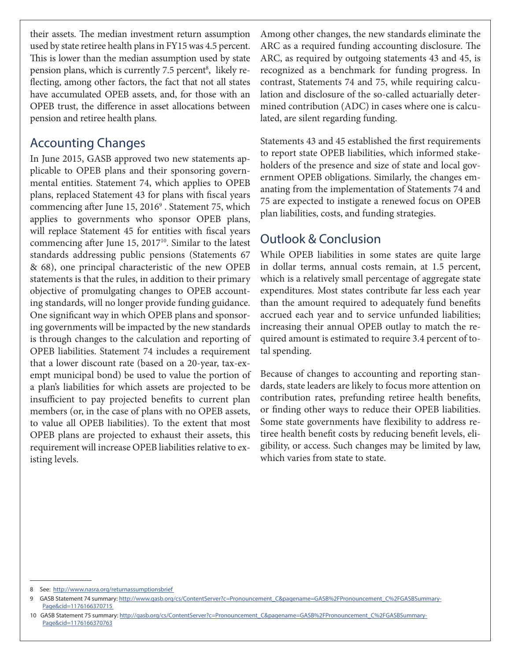their assets. The median investment return assumption used by state retiree health plans in FY15 was 4.5 percent. This is lower than the median assumption used by state pension plans, which is currently 7.5 percent<sup>8</sup>, likely reflecting, among other factors, the fact that not all states have accumulated OPEB assets, and, for those with an OPEB trust, the difference in asset allocations between pension and retiree health plans.

#### Accounting Changes

In June 2015, GASB approved two new statements applicable to OPEB plans and their sponsoring governmental entities. Statement 74, which applies to OPEB plans, replaced Statement 43 for plans with fiscal years commencing after June 15, 2016<sup>9</sup>. Statement 75, which applies to governments who sponsor OPEB plans, will replace Statement 45 for entities with fiscal years commencing after June 15, 2017<sup>10</sup>. Similar to the latest standards addressing public pensions (Statements 67 & 68), one principal characteristic of the new OPEB statements is that the rules, in addition to their primary objective of promulgating changes to OPEB accounting standards, will no longer provide funding guidance. One significant way in which OPEB plans and sponsoring governments will be impacted by the new standards is through changes to the calculation and reporting of OPEB liabilities. Statement 74 includes a requirement that a lower discount rate (based on a 20-year, tax-exempt municipal bond) be used to value the portion of a plan's liabilities for which assets are projected to be insufficient to pay projected benefits to current plan members (or, in the case of plans with no OPEB assets, to value all OPEB liabilities). To the extent that most OPEB plans are projected to exhaust their assets, this requirement will increase OPEB liabilities relative to existing levels.

Among other changes, the new standards eliminate the ARC as a required funding accounting disclosure. The ARC, as required by outgoing statements 43 and 45, is recognized as a benchmark for funding progress. In contrast, Statements 74 and 75, while requiring calculation and disclosure of the so-called actuarially determined contribution (ADC) in cases where one is calculated, are silent regarding funding.

Statements 43 and 45 established the first requirements to report state OPEB liabilities, which informed stakeholders of the presence and size of state and local government OPEB obligations. Similarly, the changes emanating from the implementation of Statements 74 and 75 are expected to instigate a renewed focus on OPEB plan liabilities, costs, and funding strategies.

#### Outlook & Conclusion

While OPEB liabilities in some states are quite large in dollar terms, annual costs remain, at 1.5 percent, which is a relatively small percentage of aggregate state expenditures. Most states contribute far less each year than the amount required to adequately fund benefits accrued each year and to service unfunded liabilities; increasing their annual OPEB outlay to match the required amount is estimated to require 3.4 percent of total spending.

Because of changes to accounting and reporting standards, state leaders are likely to focus more attention on contribution rates, prefunding retiree health benefits, or finding other ways to reduce their OPEB liabilities. Some state governments have flexibility to address retiree health benefit costs by reducing benefit levels, eligibility, or access. Such changes may be limited by law, which varies from state to state.

<sup>8</sup> See: http://www.nasra.org/returnassumptionsbrief

<sup>9</sup> GASB Statement 74 summary: http://www.gasb.org/cs/ContentServer?c=Pronouncement\_C&pagename=GASB%2FPronouncement\_C%2FGASBSummary-Page&cid=1176166370715

<sup>10</sup> GASB Statement 75 summary: http://gasb.org/cs/ContentServer?c=Pronouncement\_C&pagename=GASB%2FPronouncement\_C%2FGASBSummary-Page&cid=1176166370763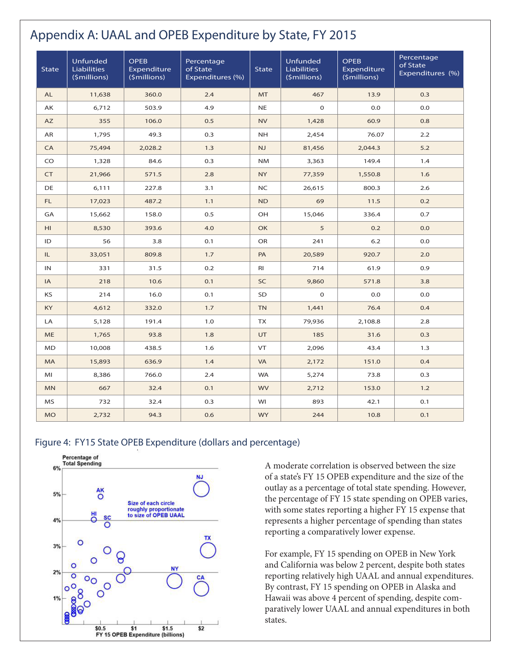## Appendix A: UAAL and OPEB Expenditure by State, FY 2015

| <b>State</b> | Unfunded<br><b>Liabilities</b><br>(\$millions) | <b>OPEB</b><br>Expenditure<br>(\$millions) | Percentage<br>of State<br>Expenditures (%) | <b>State</b> | Unfunded<br><b>Liabilities</b><br>(\$millions) | <b>OPEB</b><br>Expenditure<br>(\$millions) | Percentage<br>of State<br>Expenditures (%) |
|--------------|------------------------------------------------|--------------------------------------------|--------------------------------------------|--------------|------------------------------------------------|--------------------------------------------|--------------------------------------------|
| AL           | 11,638                                         | 360.0                                      | 2.4                                        | <b>MT</b>    | 467                                            | 13.9                                       | 0.3                                        |
| AK           | 6,712                                          | 503.9                                      | 4.9                                        | <b>NE</b>    | $\mathbf 0$                                    | 0.0                                        | 0.0                                        |
| AZ           | 355                                            | 106.0                                      | 0.5                                        | <b>NV</b>    | 1,428                                          | 60.9                                       | 0.8                                        |
| AR           | 1,795                                          | 49.3                                       | 0.3                                        | <b>NH</b>    | 2,454                                          | 76.07                                      | 2.2                                        |
| CA           | 75,494                                         | 2,028.2                                    | 1.3                                        | NJ           | 81,456                                         | 2,044.3                                    | $5.2$                                      |
| CO           | 1,328                                          | 84.6                                       | 0.3                                        | <b>NM</b>    | 3,363                                          | 149.4                                      | 1.4                                        |
| CT           | 21,966                                         | 571.5                                      | 2.8                                        | NY           | 77,359                                         | 1,550.8                                    | 1.6                                        |
| DE           | 6,111                                          | 227.8                                      | 3.1                                        | NC           | 26,615                                         | 800.3                                      | 2.6                                        |
| FL.          | 17,023                                         | 487.2                                      | 1.1                                        | <b>ND</b>    | 69                                             | 11.5                                       | 0.2                                        |
| GA           | 15,662                                         | 158.0                                      | 0.5                                        | OH           | 15,046                                         | 336.4                                      | 0.7                                        |
| HI           | 8,530                                          | 393.6                                      | 4.0                                        | OK           | 5                                              | 0.2                                        | 0.0                                        |
| ID           | 56                                             | 3.8                                        | 0.1                                        | OR           | 241                                            | 6.2                                        | $0.0\,$                                    |
| IL.          | 33,051                                         | 809.8                                      | 1.7                                        | PA           | 20,589                                         | 920.7                                      | 2.0                                        |
| IN           | 331                                            | 31.5                                       | 0.2                                        | RI           | 714                                            | 61.9                                       | 0.9                                        |
| IA           | 218                                            | 10.6                                       | 0.1                                        | <b>SC</b>    | 9,860                                          | 571.8                                      | 3.8                                        |
| KS           | 214                                            | 16.0                                       | 0.1                                        | SD           | $\mathbf 0$                                    | 0.0                                        | 0.0                                        |
| <b>KY</b>    | 4,612                                          | 332.0                                      | 1.7                                        | <b>TN</b>    | 1,441                                          | 76.4                                       | 0.4                                        |
| LA           | 5,128                                          | 191.4                                      | 1.0                                        | <b>TX</b>    | 79,936                                         | 2,108.8                                    | 2.8                                        |
| <b>ME</b>    | 1,765                                          | 93.8                                       | 1.8                                        | UT           | 185                                            | 31.6                                       | 0.3                                        |
| <b>MD</b>    | 10,008                                         | 438.5                                      | 1.6                                        | VT           | 2,096                                          | 43.4                                       | 1.3                                        |
| <b>MA</b>    | 15,893                                         | 636.9                                      | 1.4                                        | VA           | 2,172                                          | 151.0                                      | 0.4                                        |
| MI           | 8,386                                          | 766.0                                      | 2.4                                        | <b>WA</b>    | 5,274                                          | 73.8                                       | 0.3                                        |
| <b>MN</b>    | 667                                            | 32.4                                       | 0.1                                        | <b>WV</b>    | 2,712                                          | 153.0                                      | 1.2                                        |
| <b>MS</b>    | 732                                            | 32.4                                       | 0.3                                        | WI           | 893                                            | 42.1                                       | 0.1                                        |
| <b>MO</b>    | 2,732                                          | 94.3                                       | 0.6                                        | <b>WY</b>    | 244                                            | 10.8                                       | 0.1                                        |

#### Figure 4: FY15 State OPEB Expenditure (dollars and percentage)



A moderate correlation is observed between the size of a state's FY 15 OPEB expenditure and the size of the outlay as a percentage of total state spending. However, the percentage of FY 15 state spending on OPEB varies, with some states reporting a higher FY 15 expense that represents a higher percentage of spending than states reporting a comparatively lower expense.

For example, FY 15 spending on OPEB in New York and California was below 2 percent, despite both states reporting relatively high UAAL and annual expenditures. By contrast, FY 15 spending on OPEB in Alaska and Hawaii was above 4 percent of spending, despite comparatively lower UAAL and annual expenditures in both states.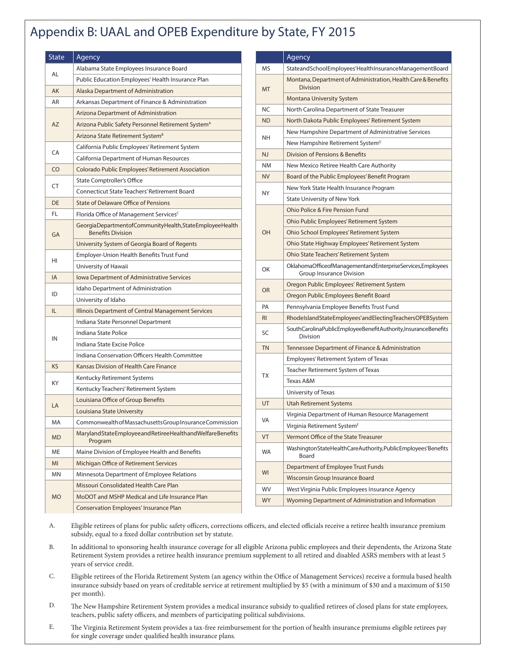#### Appendix B: UAAL and OPEB Expenditure by State, FY 2015

| State     | Agency                                                                             |  |  |  |  |  |
|-----------|------------------------------------------------------------------------------------|--|--|--|--|--|
|           | Alabama State Employees Insurance Board                                            |  |  |  |  |  |
| AL        | Public Education Employees' Health Insurance Plan                                  |  |  |  |  |  |
| AK        | Alaska Department of Administration                                                |  |  |  |  |  |
| AR        | Arkansas Department of Finance & Administration                                    |  |  |  |  |  |
|           | Arizona Department of Administration                                               |  |  |  |  |  |
| <b>AZ</b> | Arizona Public Safety Personnel Retirement System <sup>A</sup>                     |  |  |  |  |  |
|           | Arizona State Retirement System <sup>B</sup>                                       |  |  |  |  |  |
|           | California Public Employees' Retirement System                                     |  |  |  |  |  |
| CA        | California Department of Human Resources                                           |  |  |  |  |  |
| CO        | Colorado Public Employees' Retirement Association                                  |  |  |  |  |  |
|           | <b>State Comptroller's Office</b>                                                  |  |  |  |  |  |
| CT        | <b>Connecticut State Teachers' Retirement Board</b>                                |  |  |  |  |  |
| DE        | <b>State of Delaware Office of Pensions</b>                                        |  |  |  |  |  |
| FL        | Florida Office of Management Services <sup>c</sup>                                 |  |  |  |  |  |
| GA        | GeorgiaDepartmentofCommunityHealth,StateEmployeeHealth<br><b>Benefits Division</b> |  |  |  |  |  |
|           | University System of Georgia Board of Regents                                      |  |  |  |  |  |
| HI        | <b>Employer-Union Health Benefits Trust Fund</b>                                   |  |  |  |  |  |
|           | University of Hawaii                                                               |  |  |  |  |  |
| IA        | Iowa Department of Administrative Services                                         |  |  |  |  |  |
| ID        | Idaho Department of Administration                                                 |  |  |  |  |  |
|           | University of Idaho                                                                |  |  |  |  |  |
| IL        | Illinois Department of Central Management Services                                 |  |  |  |  |  |
|           | Indiana State Personnel Department                                                 |  |  |  |  |  |
| IN        | Indiana State Police                                                               |  |  |  |  |  |
|           | Indiana State Excise Police                                                        |  |  |  |  |  |
|           | Indiana Conservation Officers Health Committee                                     |  |  |  |  |  |
| <b>KS</b> | <b>Kansas Division of Health Care Finance</b>                                      |  |  |  |  |  |
| KY        | Kentucky Retirement Systems                                                        |  |  |  |  |  |
|           | Kentucky Teachers' Retirement System                                               |  |  |  |  |  |
|           | Louisiana Office of Group Benefits                                                 |  |  |  |  |  |
| LA        | Louisiana State University                                                         |  |  |  |  |  |
| ΜA        | Commonwealth of Massachusetts Group Insurance Commission                           |  |  |  |  |  |
| <b>MD</b> | MarylandStateEmployeeandRetireeHealthandWelfareBenefits<br>Program                 |  |  |  |  |  |
| ME        | Maine Division of Employee Health and Benefits                                     |  |  |  |  |  |
| MI        | Michigan Office of Retirement Services                                             |  |  |  |  |  |
| ΜN        | Minnesota Department of Employee Relations                                         |  |  |  |  |  |
|           | Missouri Consolidated Health Care Plan                                             |  |  |  |  |  |
| <b>MO</b> | MoDOT and MSHP Medical and Life Insurance Plan                                     |  |  |  |  |  |
|           | Conservation Employees' Insurance Plan                                             |  |  |  |  |  |

|                | Agency                                                                                       |  |  |  |  |
|----------------|----------------------------------------------------------------------------------------------|--|--|--|--|
| MS             | StateandSchoolEmployees'HealthInsuranceManagementBoard                                       |  |  |  |  |
| <b>MT</b>      | Montana, Department of Administration, Health Care & Benefits<br><b>Division</b>             |  |  |  |  |
|                | <b>Montana University System</b>                                                             |  |  |  |  |
| NC             | North Carolina Department of State Treasurer                                                 |  |  |  |  |
| <b>ND</b>      | North Dakota Public Employees' Retirement System                                             |  |  |  |  |
| NΗ             | New Hampshire Department of Administrative Services                                          |  |  |  |  |
|                | New Hampshire Retirement System <sup>D</sup>                                                 |  |  |  |  |
| <b>NJ</b>      | Division of Pensions & Benefits                                                              |  |  |  |  |
| ΝM             | New Mexico Retiree Health Care Authority                                                     |  |  |  |  |
| <b>NV</b>      | Board of the Public Employees' Benefit Program                                               |  |  |  |  |
| NY.            | New York State Health Insurance Program                                                      |  |  |  |  |
|                | <b>State University of New York</b>                                                          |  |  |  |  |
|                | Ohio Police & Fire Pension Fund                                                              |  |  |  |  |
|                | Ohio Public Employees' Retirement System                                                     |  |  |  |  |
| OH             | Ohio School Employees' Retirement System                                                     |  |  |  |  |
|                | Ohio State Highway Employees' Retirement System                                              |  |  |  |  |
|                | Ohio State Teachers' Retirement System                                                       |  |  |  |  |
| OK             | OklahomaOfficeofManagementandEnterpriseServices,Employees<br><b>Group Insurance Division</b> |  |  |  |  |
| <b>OR</b>      | Oregon Public Employees' Retirement System                                                   |  |  |  |  |
|                | Oregon Public Employees Benefit Board                                                        |  |  |  |  |
| PA             | Pennsylvania Employee Benefits Trust Fund                                                    |  |  |  |  |
| R <sub>l</sub> | Rhodelsland State Employees' and Electing Teachers OPEB System                               |  |  |  |  |
| SC             | SouthCarolinaPublicEmployeeBenefitAuthority,InsuranceBenefits<br>Division                    |  |  |  |  |
| <b>TN</b>      | Tennessee Department of Finance & Administration                                             |  |  |  |  |
|                | <b>Employees' Retirement System of Texas</b>                                                 |  |  |  |  |
| <b>TX</b>      | Teacher Retirement System of Texas                                                           |  |  |  |  |
|                | Texas A&M                                                                                    |  |  |  |  |
|                | University of Texas                                                                          |  |  |  |  |
| UT             | <b>Utah Retirement Systems</b>                                                               |  |  |  |  |
| VA             | Virginia Department of Human Resource Management                                             |  |  |  |  |
|                | Virginia Retirement System <sup>e</sup>                                                      |  |  |  |  |
| VT             | Vermont Office of the State Treasurer                                                        |  |  |  |  |
| <b>WA</b>      | WashingtonStateHealthCareAuthority,PublicEmployees'Benefits<br>Board                         |  |  |  |  |
| WI             | Department of Employee Trust Funds                                                           |  |  |  |  |
|                | Wisconsin Group Insurance Board                                                              |  |  |  |  |
| WV             | West Virginia Public Employees Insurance Agency                                              |  |  |  |  |
| <b>WY</b>      | Wyoming Department of Administration and Information                                         |  |  |  |  |

Eligible retirees of plans for public safety officers, corrections officers, and elected officials receive a retiree health insurance premium subsidy, equal to a fixed dollar contribution set by statute. A.

- In additional to sponsoring health insurance coverage for all eligible Arizona public employees and their dependents, the Arizona State Retirement System provides a retiree health insurance premium supplement to all retired and disabled ASRS members with at least 5 years of service credit. B.
- Eligible retirees of the Florida Retirement System (an agency within the Office of Management Services) receive a formula based health insurance subsidy based on years of creditable service at retirement multiplied by \$5 (with a minimum of \$30 and a maximum of \$150 per month). C.
- The New Hampshire Retirement System provides a medical insurance subsidy to qualified retirees of closed plans for state employees, teachers, public safety officers, and members of participating political subdivisions. D.
- The Virginia Retirement System provides a tax-free reimbursement for the portion of health insurance premiums eligible retirees pay for single coverage under qualified health insurance plans. E.